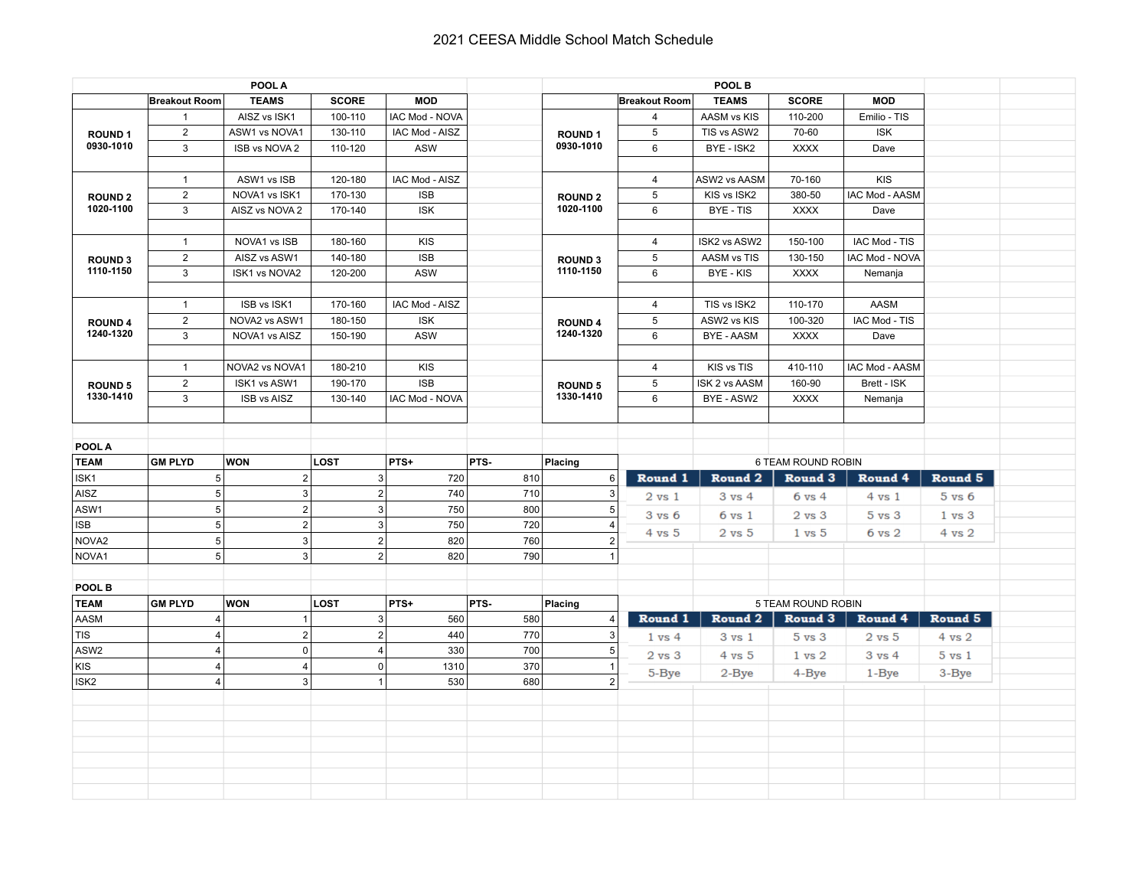## 2021 CEESA Middle School Match Schedule

| POOL A                      |                      |                    |                         |                       | POOL B |                             |                      |                    |                    |                       |                   |  |
|-----------------------------|----------------------|--------------------|-------------------------|-----------------------|--------|-----------------------------|----------------------|--------------------|--------------------|-----------------------|-------------------|--|
|                             | <b>Breakout Room</b> | <b>TEAMS</b>       | <b>SCORE</b>            | <b>MOD</b>            |        |                             | <b>Breakout Room</b> | <b>TEAMS</b>       | <b>SCORE</b>       | <b>MOD</b>            |                   |  |
| <b>ROUND1</b><br>0930-1010  | $\mathbf{1}$         | AISZ vs ISK1       | 100-110                 | IAC Mod - NOVA        |        |                             | 4                    | AASM vs KIS        | 110-200            | Emilio - TIS          |                   |  |
|                             | $\overline{2}$       | ASW1 vs NOVA1      | 130-110                 | IAC Mod - AISZ        |        | <b>ROUND1</b><br>0930-1010  | $\sqrt{5}$           | TIS vs ASW2        | 70-60              | <b>ISK</b>            |                   |  |
|                             | 3                    | ISB vs NOVA 2      | 110-120                 | <b>ASW</b>            |        |                             | 6                    | BYE - ISK2         | <b>XXXX</b>        | Dave                  |                   |  |
|                             |                      |                    |                         |                       |        |                             |                      |                    |                    |                       |                   |  |
| <b>ROUND 2</b><br>1020-1100 | $\mathbf{1}$         | ASW1 vs ISB        | 120-180                 | IAC Mod - AISZ        |        | <b>ROUND 2</b><br>1020-1100 | 4                    | ASW2 vs AASM       | 70-160             | <b>KIS</b>            |                   |  |
|                             | $\overline{2}$       | NOVA1 vs ISK1      | 170-130                 | <b>ISB</b>            |        |                             | 5                    | KIS vs ISK2        | 380-50             | <b>IAC Mod - AASM</b> |                   |  |
|                             | 3                    | AISZ vs NOVA 2     | 170-140                 | <b>ISK</b>            |        |                             | 6                    | <b>BYE-TIS</b>     | <b>XXXX</b>        | Dave                  |                   |  |
|                             |                      |                    |                         |                       |        |                             |                      |                    |                    |                       |                   |  |
| <b>ROUND3</b>               | $\mathbf{1}$         | NOVA1 vs ISB       | 180-160                 | <b>KIS</b>            |        | <b>ROUND 3</b><br>1110-1150 | $\overline{4}$       | ISK2 vs ASW2       | 150-100            | IAC Mod - TIS         |                   |  |
|                             | $\overline{2}$       | AISZ vs ASW1       | 140-180                 | <b>ISB</b>            |        |                             | $\sqrt{5}$           | <b>AASM vs TIS</b> | 130-150            | <b>IAC Mod - NOVA</b> |                   |  |
| 1110-1150                   | 3                    | ISK1 vs NOVA2      | 120-200                 | <b>ASW</b>            |        |                             | 6                    | BYE - KIS          | <b>XXXX</b>        | Nemanja               |                   |  |
|                             |                      |                    |                         |                       |        |                             |                      |                    |                    |                       |                   |  |
|                             | $\overline{1}$       | ISB vs ISK1        | 170-160                 | IAC Mod - AISZ        |        | <b>ROUND 4</b>              | $\overline{4}$       | TIS vs ISK2        | 110-170            | AASM                  |                   |  |
| <b>ROUND 4</b>              | $\overline{2}$       | NOVA2 vs ASW1      | 180-150                 | <b>ISK</b>            |        |                             | $\mathbf 5$          | ASW2 vs KIS        | 100-320            | IAC Mod - TIS         |                   |  |
| 1240-1320                   | 3                    | NOVA1 vs AISZ      | 150-190                 | <b>ASW</b>            |        | 1240-1320                   | 6                    | <b>BYE - AASM</b>  | <b>XXXX</b>        | Dave                  |                   |  |
|                             |                      |                    |                         |                       |        |                             |                      |                    |                    |                       |                   |  |
|                             | $\mathbf{1}$         | NOVA2 vs NOVA1     | 180-210                 | <b>KIS</b>            |        |                             | $\overline{4}$       | KIS vs TIS         | 410-110            | <b>IAC Mod - AASM</b> |                   |  |
| <b>ROUND 5</b>              | $\overline{2}$       | ISK1 vs ASW1       | 190-170                 | <b>ISB</b>            |        | <b>ROUND 5</b>              | $\mathbf 5$          | ISK 2 vs AASM      | 160-90             | Brett - ISK           |                   |  |
| 1330-1410                   | 3                    | <b>ISB vs AISZ</b> | 130-140                 | <b>IAC Mod - NOVA</b> |        | 1330-1410                   | 6                    | BYE - ASW2         | <b>XXXX</b>        | Nemanja               |                   |  |
|                             |                      |                    |                         |                       |        |                             |                      |                    |                    |                       |                   |  |
|                             |                      |                    |                         |                       |        |                             |                      |                    |                    |                       |                   |  |
| POOL A                      |                      |                    |                         |                       |        |                             |                      |                    |                    |                       |                   |  |
| <b>TEAM</b>                 | <b>GM PLYD</b>       | <b>WON</b>         | <b>LOST</b>             | PTS+                  | PTS-   | Placing                     |                      |                    | 6 TEAM ROUND ROBIN |                       |                   |  |
| ISK1                        | 5 <sup>1</sup>       | $\mathbf 2$        | $\mathsf 3$             | 720                   | 810    | 6                           | Round 1              | Round <sub>2</sub> | Round 3            | Round 4               | Round 5           |  |
|                             |                      |                    |                         |                       |        |                             |                      |                    |                    |                       |                   |  |
| AISZ                        | 5 <sup>1</sup>       | 3                  | $\mathbf 2$             | 740                   | 710    | 3                           | $2 \text{ vs } 1$    | $3 \text{ vs } 4$  | $6 \text{ vs } 4$  | $4 \text{ vs } 1$     | $5 \text{ vs } 6$ |  |
| ASW1                        | 5 <sup>2</sup>       | $\mathbf 2$        | $\mathbf{3}$            | 750                   | 800    | $\overline{5}$              |                      |                    |                    |                       |                   |  |
| <b>ISB</b>                  | 5 <sup>1</sup>       | $\mathbf 2$        | $\mathsf 3$             | 750                   | 720    | $\overline{4}$              | $3 \text{ vs } 6$    | $6 \text{ vs } 1$  | $2 \text{ vs } 3$  | $5 \text{ vs } 3$     | $1 \text{ vs } 3$ |  |
| NOVA <sub>2</sub>           | 5 <sup>1</sup>       | 3                  | $\mathbf 2$             | 820                   | 760    | $\overline{2}$              | $4 \text{ vs } 5$    | $2$ vs $5$         | $1 \text{ vs } 5$  | $6 \text{ vs } 2$     | 4 vs 2            |  |
| NOVA <sub>1</sub>           | 5 <sup>5</sup>       | 3                  | $\overline{2}$          | 820                   | 790    | $\mathbf{1}$                |                      |                    |                    |                       |                   |  |
|                             |                      |                    |                         |                       |        |                             |                      |                    |                    |                       |                   |  |
| POOL B                      |                      |                    |                         |                       |        |                             |                      |                    |                    |                       |                   |  |
| <b>TEAM</b>                 | <b>GM PLYD</b>       | <b>WON</b>         | <b>LOST</b>             | PTS+                  | PTS-   | Placing                     |                      |                    | 5 TEAM ROUND ROBIN |                       |                   |  |
| AASM                        | $\overline{4}$       | 1                  | $\mathsf 3$             | 560                   | 580    | $\overline{4}$              | Round 1              | Round 2            | Round 3            | Round 4               | Round 5           |  |
| <b>TIS</b>                  | $\overline{4}$       | $\overline{2}$     | $\overline{2}$          | 440                   | 770    | 3                           | $1 \text{ vs } 4$    | 3 vs 1             | $5 \text{ vs } 3$  | $2$ vs $5$            | $4 \text{ vs } 2$ |  |
| ASW2                        | $\vert$              | $\mathbf 0$        | $\overline{\mathbf{4}}$ | 330                   | 700    | $\sqrt{5}$                  |                      |                    |                    |                       |                   |  |
| <b>KIS</b>                  | 4                    | $\overline{4}$     | $\mathbf 0$             | 1310                  | 370    | $\mathbf{1}$                | $2$ vs $3$           | $4 \text{ vs } 5$  | $1 \text{ vs } 2$  | $3 \text{ vs } 4$     | $5 \text{ vs } 1$ |  |
| ISK <sub>2</sub>            | $\vert$              | 3                  | $\mathbf{1}$            | 530                   | 680    | $2 \mid$                    | 5-Bye                | $2 - Bye$          | 4-Bye              | $1 - Bye$             | 3-Bye             |  |
|                             |                      |                    |                         |                       |        |                             |                      |                    |                    |                       |                   |  |
|                             |                      |                    |                         |                       |        |                             |                      |                    |                    |                       |                   |  |
|                             |                      |                    |                         |                       |        |                             |                      |                    |                    |                       |                   |  |
|                             |                      |                    |                         |                       |        |                             |                      |                    |                    |                       |                   |  |
|                             |                      |                    |                         |                       |        |                             |                      |                    |                    |                       |                   |  |
|                             |                      |                    |                         |                       |        |                             |                      |                    |                    |                       |                   |  |
|                             |                      |                    |                         |                       |        |                             |                      |                    |                    |                       |                   |  |